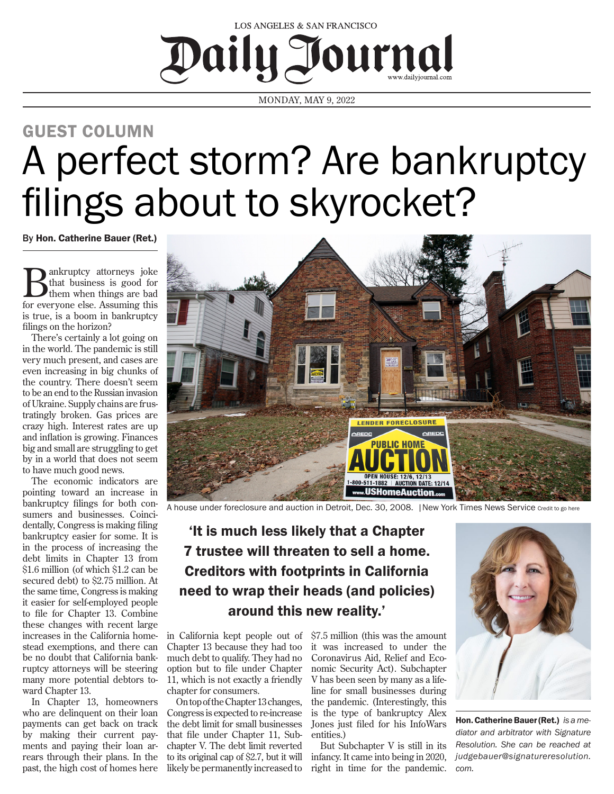

MONDAY, MAY 9, 2022

## A perfect storm? Are bankruptcy filings about to skyrocket? GUEST COLUMN

By Hon. Catherine Bauer (Ret.)

**B** ankruptcy attorneys joke<br>them when things are bad<br>for guerrians also Assuming this that business is good for for everyone else. Assuming this is true, is a boom in bankruptcy filings on the horizon?

There's certainly a lot going on in the world. The pandemic is still very much present, and cases are even increasing in big chunks of the country. There doesn't seem to be an end to the Russian invasion of Ukraine. Supply chains are frustratingly broken. Gas prices are crazy high. Interest rates are up and inflation is growing. Finances big and small are struggling to get by in a world that does not seem to have much good news.

The economic indicators are pointing toward an increase in bankruptcy filings for both consumers and businesses. Coincidentally, Congress is making filing bankruptcy easier for some. It is in the process of increasing the debt limits in Chapter 13 from \$1.6 million (of which \$1.2 can be secured debt) to \$2.75 million. At the same time, Congress is making it easier for self-employed people to file for Chapter 13. Combine these changes with recent large increases in the California homestead exemptions, and there can be no doubt that California bankruptcy attorneys will be steering many more potential debtors toward Chapter 13.

In Chapter 13, homeowners who are delinquent on their loan payments can get back on track by making their current payments and paying their loan arrears through their plans. In the past, the high cost of homes here likely be permanently increased to



A house under foreclosure and auction in Detroit, Dec. 30, 2008. |New York Times News Service Credit to go here

## 'It is much less likely that a Chapter 7 trustee will threaten to sell a home. Creditors with footprints in California need to wrap their heads (and policies) around this new reality.'

in California kept people out of Chapter 13 because they had too much debt to qualify. They had no option but to file under Chapter 11, which is not exactly a friendly chapter for consumers.

On top of the Chapter 13 changes, Congress is expected to re-increase the debt limit for small businesses that file under Chapter 11, Subchapter V. The debt limit reverted to its original cap of \$2.7, but it will

\$7.5 million (this was the amount it was increased to under the Coronavirus Aid, Relief and Economic Security Act). Subchapter V has been seen by many as a lifeline for small businesses during the pandemic. (Interestingly, this is the type of bankruptcy Alex Jones just filed for his InfoWars entities.)

But Subchapter V is still in its infancy. It came into being in 2020, right in time for the pandemic.



Hon. Catherine Bauer (Ret.) *is a mediator and arbitrator with Signature Resolution. She can be reached at judgebauer@signatureresolution. com.*